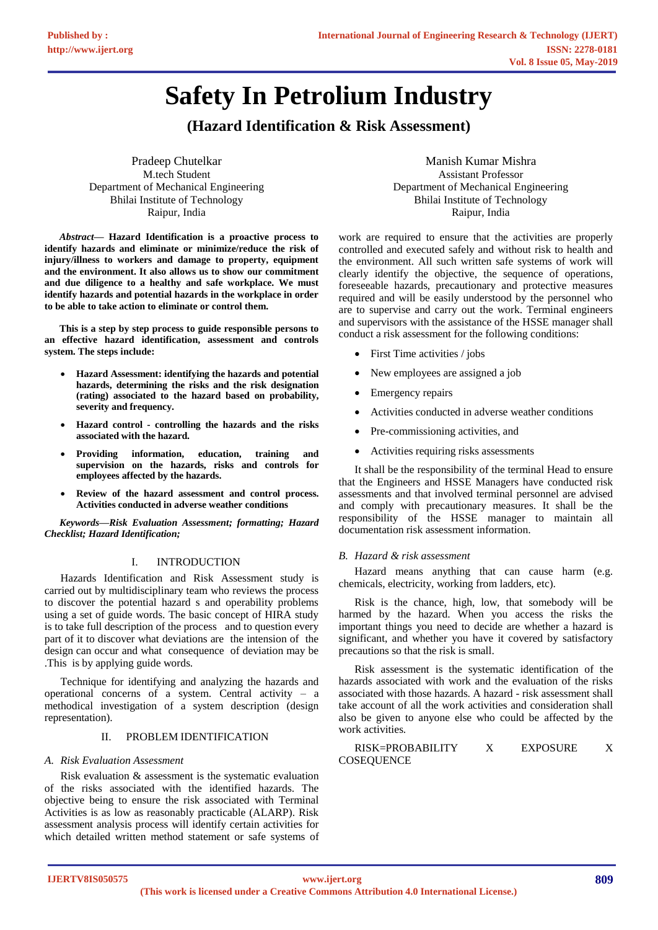# **Safety In Petrolium Industry**

# **(Hazard Identification & Risk Assessment)**

Pradeep Chutelkar M.tech Student Department of Mechanical Engineering Bhilai Institute of Technology Raipur, India

*Abstract***— Hazard Identification is a proactive process to identify hazards and eliminate or minimize/reduce the risk of injury/illness to workers and damage to property, equipment and the environment. It also allows us to show our commitment and due diligence to a healthy and safe workplace. We must identify hazards and potential hazards in the workplace in order to be able to take action to eliminate or control them.**

**This is a step by step process to guide responsible persons to an effective hazard identification, assessment and controls system. The steps include:** 

- **Hazard Assessment: identifying the hazards and potential hazards, determining the risks and the risk designation (rating) associated to the hazard based on probability, severity and frequency.**
- **Hazard control - controlling the hazards and the risks associated with the hazard.**
- **Providing information, education, training and supervision on the hazards, risks and controls for employees affected by the hazards.**
- **Review of the hazard assessment and control process. Activities conducted in adverse weather conditions**

*Keywords—Risk Evaluation Assessment; formatting; Hazard Checklist; Hazard Identification;*

# I. INTRODUCTION

Hazards Identification and Risk Assessment study is carried out by multidisciplinary team who reviews the process to discover the potential hazard s and operability problems using a set of guide words. The basic concept of HIRA study is to take full description of the process and to question every part of it to discover what deviations are the intension of the design can occur and what consequence of deviation may be .This is by applying guide words.

Technique for identifying and analyzing the hazards and operational concerns of a system. Central activity – a methodical investigation of a system description (design representation).

## II. PROBLEM IDENTIFICATION

#### *A. Risk Evaluation Assessment*

Risk evaluation & assessment is the systematic evaluation of the risks associated with the identified hazards. The objective being to ensure the risk associated with Terminal Activities is as low as reasonably practicable (ALARP). Risk assessment analysis process will identify certain activities for which detailed written method statement or safe systems of

Manish Kumar Mishra Assistant Professor Department of Mechanical Engineering Bhilai Institute of Technology Raipur, India

work are required to ensure that the activities are properly controlled and executed safely and without risk to health and the environment. All such written safe systems of work will clearly identify the objective, the sequence of operations, foreseeable hazards, precautionary and protective measures required and will be easily understood by the personnel who are to supervise and carry out the work. Terminal engineers and supervisors with the assistance of the HSSE manager shall conduct a risk assessment for the following conditions:

- First Time activities / jobs
- New employees are assigned a job
- Emergency repairs
- Activities conducted in adverse weather conditions
- Pre-commissioning activities, and
- Activities requiring risks assessments

It shall be the responsibility of the terminal Head to ensure that the Engineers and HSSE Managers have conducted risk assessments and that involved terminal personnel are advised and comply with precautionary measures. It shall be the responsibility of the HSSE manager to maintain all documentation risk assessment information.

#### *B. Hazard & risk assessment*

Hazard means anything that can cause harm (e.g. chemicals, electricity, working from ladders, etc).

Risk is the chance, high, low, that somebody will be harmed by the hazard. When you access the risks the important things you need to decide are whether a hazard is significant, and whether you have it covered by satisfactory precautions so that the risk is small.

Risk assessment is the systematic identification of the hazards associated with work and the evaluation of the risks associated with those hazards. A hazard - risk assessment shall take account of all the work activities and consideration shall also be given to anyone else who could be affected by the work activities.

RISK=PROBABILITY X EXPOSURE X **COSEQUENCE**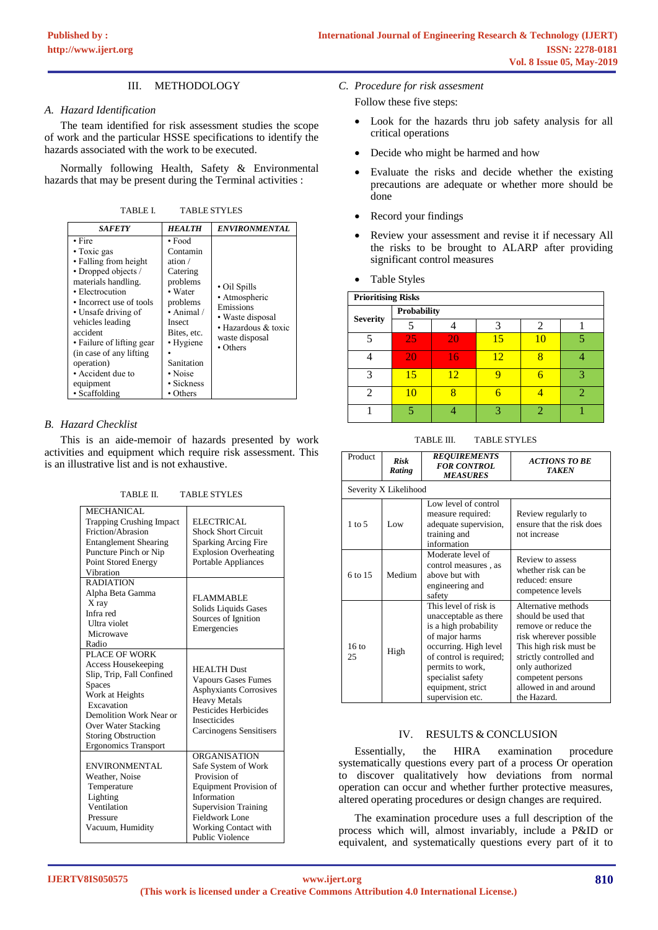# III. METHODOLOGY

### *A. Hazard Identification*

The team identified for risk assessment studies the scope of work and the particular HSSE specifications to identify the hazards associated with the work to be executed.

Normally following Health, Safety & Environmental hazards that may be present during the Terminal activities :

TABLE I. TABLE STYLES

#### *B. Hazard Checklist*

This is an aide-memoir of hazards presented by work activities and equipment which require risk assessment. This is an illustrative list and is not exhaustive.

TABLE II. TABLE STYLES

| <b>MECHANICAL</b><br><b>Trapping Crushing Impact</b><br>Friction/Abrasion<br><b>Entanglement Shearing</b><br>Puncture Pinch or Nip<br>Point Stored Energy<br>Vibration                                                             | <b>ELECTRICAL</b><br><b>Shock Short Circuit</b><br><b>Sparking Arcing Fire</b><br><b>Explosion Overheating</b><br><b>Portable Appliances</b>                                                    |
|------------------------------------------------------------------------------------------------------------------------------------------------------------------------------------------------------------------------------------|-------------------------------------------------------------------------------------------------------------------------------------------------------------------------------------------------|
| <b>RADIATION</b><br>Alpha Beta Gamma<br>X ray<br>Infra red<br>Ultra violet<br>Microwave<br>Radio                                                                                                                                   | <b>FLAMMABLE</b><br>Solids Liquids Gases<br>Sources of Ignition<br>Emergencies                                                                                                                  |
| PLACE OF WORK<br><b>Access Housekeeping</b><br>Slip, Trip, Fall Confined<br>Spaces<br>Work at Heights<br>Excavation<br>Demolition Work Near or<br>Over Water Stacking<br><b>Storing Obstruction</b><br><b>Ergonomics Transport</b> | <b>HEALTH Dust</b><br><b>Vapours Gases Fumes</b><br><b>Asphyxiants Corrosives</b><br><b>Heavy Metals</b><br>Pesticides Herbicides<br>Insecticides<br>Carcinogens Sensitisers                    |
| ENVIRONMENTAL<br>Weather, Noise<br>Temperature<br>Lighting<br>Ventilation<br>Pressure<br>Vacuum, Humidity                                                                                                                          | <b>ORGANISATION</b><br>Safe System of Work<br>Provision of<br>Equipment Provision of<br>Information<br><b>Supervision Training</b><br>Fieldwork Lone<br>Working Contact with<br>Public Violence |

*C. Procedure for risk assesment*

Follow these five steps:

- Look for the hazards thru job safety analysis for all critical operations
- Decide who might be harmed and how
- Evaluate the risks and decide whether the existing precautions are adequate or whether more should be done
- Record your findings
- Review your assessment and revise it if necessary All the risks to be brought to ALARP after providing significant control measures
- Table Styles

| <b>Prioritising Risks</b> |                    |    |    |    |   |  |
|---------------------------|--------------------|----|----|----|---|--|
| <b>Severity</b>           | <b>Probability</b> |    |    |    |   |  |
|                           |                    |    |    |    |   |  |
|                           | 25                 | 20 | 15 | 10 |   |  |
|                           | 20                 | 16 | 12 |    |   |  |
| 3                         | 15                 | 12 |    |    | 2 |  |
|                           | 10                 |    |    |    |   |  |
|                           |                    |    |    |    |   |  |

TABLE III. TABLE STYLES

| Product               | <b>Risk</b><br>Rating | <b>REQUIREMENTS</b><br><b>FOR CONTROL</b><br><b>MEASURES</b>                                                                                                                                                                    | <b>ACTIONS TO BE</b><br><b>TAKEN</b>                                                                                                                                                                                              |  |  |  |
|-----------------------|-----------------------|---------------------------------------------------------------------------------------------------------------------------------------------------------------------------------------------------------------------------------|-----------------------------------------------------------------------------------------------------------------------------------------------------------------------------------------------------------------------------------|--|--|--|
| Severity X Likelihood |                       |                                                                                                                                                                                                                                 |                                                                                                                                                                                                                                   |  |  |  |
| $1$ to $5$            | Low                   | Low level of control<br>measure required:<br>adequate supervision,<br>training and<br>information                                                                                                                               | Review regularly to<br>ensure that the risk does<br>not increase                                                                                                                                                                  |  |  |  |
| 6 to 15               | Medium                | Moderate level of<br>control measures, as<br>above but with<br>engineering and<br>safety                                                                                                                                        | Review to assess<br>whether risk can be<br>reduced: ensure<br>competence levels                                                                                                                                                   |  |  |  |
| $16 \text{ to}$<br>25 | High                  | This level of risk is<br>unacceptable as there<br>is a high probability<br>of major harms<br>occurring. High level<br>of control is required;<br>permits to work,<br>specialist safety<br>equipment, strict<br>supervision etc. | Alternative methods<br>should be used that<br>remove or reduce the<br>risk wherever possible<br>This high risk must be<br>strictly controlled and<br>only authorized<br>competent persons<br>allowed in and around<br>the Hazard. |  |  |  |

#### IV. RESULTS & CONCLUSION

Essentially, the HIRA examination procedure systematically questions every part of a process Or operation to discover qualitatively how deviations from normal operation can occur and whether further protective measures, altered operating procedures or design changes are required.

The examination procedure uses a full description of the process which will, almost invariably, include a P&ID or equivalent, and systematically questions every part of it to